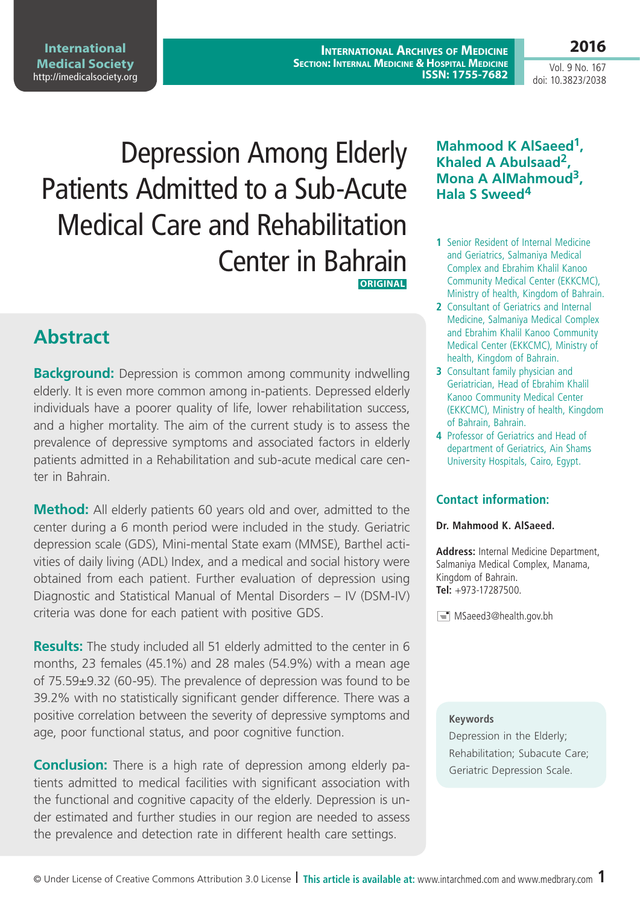**International Archives of Medicine SECTION: INTERNAL MEDICINE & HOSPITAL MEDICINE ISSN: 1755-7682** **2016**

Vol. 9 No. 167 doi: 10.3823/2038

Depression Among Elderly Patients Admitted to a Sub-Acute Medical Care and Rehabilitation Center in Bahrain  **ORIGINAL**

# **Abstract**

**Background:** Depression is common among community indwelling elderly. It is even more common among in-patients. Depressed elderly individuals have a poorer quality of life, lower rehabilitation success, and a higher mortality. The aim of the current study is to assess the prevalence of depressive symptoms and associated factors in elderly patients admitted in a Rehabilitation and sub-acute medical care center in Bahrain.

**Method:** All elderly patients 60 years old and over, admitted to the center during a 6 month period were included in the study. Geriatric depression scale (GDS), Mini-mental State exam (MMSE), Barthel activities of daily living (ADL) Index, and a medical and social history were obtained from each patient. Further evaluation of depression using Diagnostic and Statistical Manual of Mental Disorders – IV (DSM-IV) criteria was done for each patient with positive GDS.

**Results:** The study included all 51 elderly admitted to the center in 6 months, 23 females (45.1%) and 28 males (54.9%) with a mean age of 75.59±9.32 (60-95). The prevalence of depression was found to be 39.2% with no statistically significant gender difference. There was a positive correlation between the severity of depressive symptoms and age, poor functional status, and poor cognitive function.

**Conclusion:** There is a high rate of depression among elderly patients admitted to medical facilities with significant association with the functional and cognitive capacity of the elderly. Depression is under estimated and further studies in our region are needed to assess the prevalence and detection rate in different health care settings.

## **Mahmood K AlSaeed1, Khaled A Abulsaad2, Mona A AlMahmoud3, Hala S Sweed<sup>4</sup>**

- **1** Senior Resident of Internal Medicine and Geriatrics, Salmaniya Medical Complex and Ebrahim Khalil Kanoo Community Medical Center (EKKCMC), Ministry of health, Kingdom of Bahrain.
- **2** Consultant of Geriatrics and Internal Medicine, Salmaniya Medical Complex and Ebrahim Khalil Kanoo Community Medical Center (EKKCMC), Ministry of health, Kingdom of Bahrain.
- **3** Consultant family physician and Geriatrician, Head of Ebrahim Khalil Kanoo Community Medical Center (EKKCMC), Ministry of health, Kingdom of Bahrain, Bahrain.
- **4** Professor of Geriatrics and Head of department of Geriatrics, Ain Shams University Hospitals, Cairo, Egypt.

### **Contact information:**

### **Dr. Mahmood K. AlSaeed.**

**Address:** Internal Medicine Department, Salmaniya Medical Complex, Manama, Kingdom of Bahrain. **Tel:** +973-17287500.

MSaeed3@health.gov.bh

### **Keywords**

Depression in the Elderly; Rehabilitation; Subacute Care; Geriatric Depression Scale.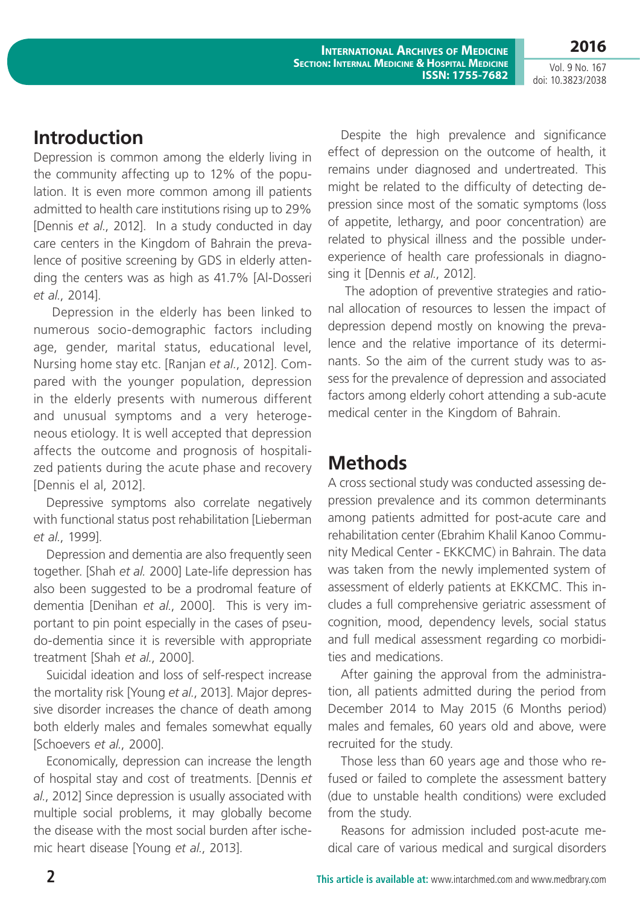**International Archives of Medicine SECTION: INTERNAL MEDICINE & HOSPITAL MEDICINE ISSN: 1755-7682**

Vol. 9 No. 167 doi: 10.3823/2038

**2016**

## **Introduction**

Depression is common among the elderly living in the community affecting up to 12% of the population. It is even more common among ill patients admitted to health care institutions rising up to 29% [Dennis *et al.*, 2012]. In a study conducted in day care centers in the Kingdom of Bahrain the prevalence of positive screening by GDS in elderly attending the centers was as high as 41.7% [Al-Dosseri *et al.*, 2014].

 Depression in the elderly has been linked to numerous socio-demographic factors including age, gender, marital status, educational level, Nursing home stay etc. [Ranjan *et al.*, 2012]. Compared with the younger population, depression in the elderly presents with numerous different and unusual symptoms and a very heterogeneous etiology. It is well accepted that depression affects the outcome and prognosis of hospitalized patients during the acute phase and recovery [Dennis el al, 2012].

Depressive symptoms also correlate negatively with functional status post rehabilitation [Lieberman *et al.*, 1999].

Depression and dementia are also frequently seen together. [Shah *et al.* 2000] Late-life depression has also been suggested to be a prodromal feature of dementia [Denihan *et al.*, 2000]. This is very important to pin point especially in the cases of pseudo-dementia since it is reversible with appropriate treatment [Shah *et al.*, 2000].

Suicidal ideation and loss of self-respect increase the mortality risk [Young *et al.*, 2013]. Major depressive disorder increases the chance of death among both elderly males and females somewhat equally [Schoevers *et al.*, 2000].

Economically, depression can increase the length of hospital stay and cost of treatments. [Dennis *et al.*, 2012] Since depression is usually associated with multiple social problems, it may globally become the disease with the most social burden after ischemic heart disease [Young *et al.*, 2013].

Despite the high prevalence and significance effect of depression on the outcome of health, it remains under diagnosed and undertreated. This might be related to the difficulty of detecting depression since most of the somatic symptoms (loss of appetite, lethargy, and poor concentration) are related to physical illness and the possible underexperience of health care professionals in diagnosing it [Dennis *et al.*, 2012].

 The adoption of preventive strategies and rational allocation of resources to lessen the impact of depression depend mostly on knowing the prevalence and the relative importance of its determinants. So the aim of the current study was to assess for the prevalence of depression and associated factors among elderly cohort attending a sub-acute medical center in the Kingdom of Bahrain.

## **Methods**

A cross sectional study was conducted assessing depression prevalence and its common determinants among patients admitted for post-acute care and rehabilitation center (Ebrahim Khalil Kanoo Community Medical Center - EKKCMC) in Bahrain. The data was taken from the newly implemented system of assessment of elderly patients at EKKCMC. This includes a full comprehensive geriatric assessment of cognition, mood, dependency levels, social status and full medical assessment regarding co morbidities and medications.

After gaining the approval from the administration, all patients admitted during the period from December 2014 to May 2015 (6 Months period) males and females, 60 years old and above, were recruited for the study.

Those less than 60 years age and those who refused or failed to complete the assessment battery (due to unstable health conditions) were excluded from the study.

Reasons for admission included post-acute medical care of various medical and surgical disorders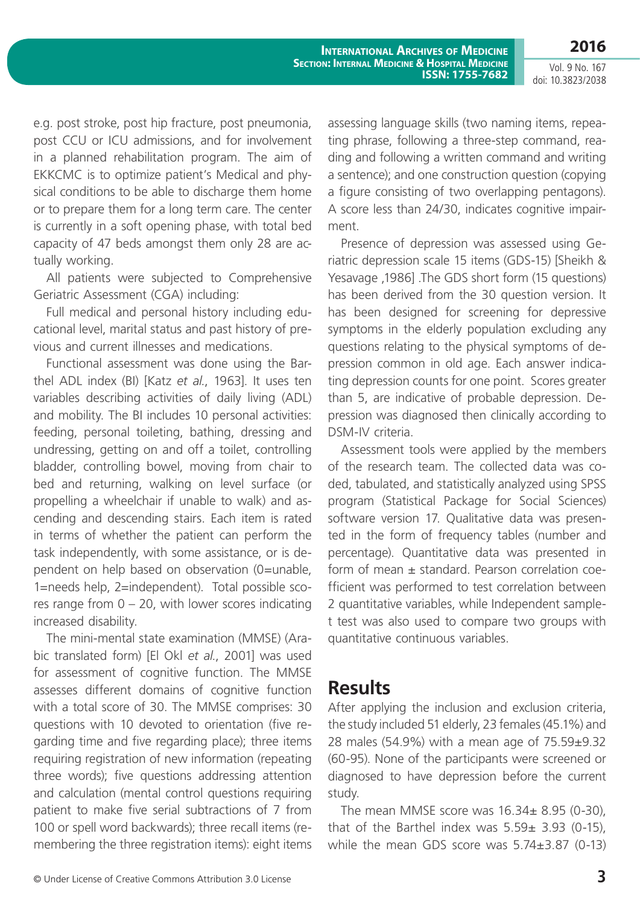**International Archives of Medicine SECTION: INTERNAL MEDICINE & HOSPITAL MEDICINE ISSN: 1755-7682**

Vol. 9 No. 167 doi: 10.3823/2038

**2016**

e.g. post stroke, post hip fracture, post pneumonia, post CCU or ICU admissions, and for involvement in a planned rehabilitation program. The aim of EKKCMC is to optimize patient's Medical and physical conditions to be able to discharge them home or to prepare them for a long term care. The center is currently in a soft opening phase, with total bed capacity of 47 beds amongst them only 28 are actually working.

All patients were subjected to Comprehensive Geriatric Assessment (CGA) including:

Full medical and personal history including educational level, marital status and past history of previous and current illnesses and medications.

Functional assessment was done using the Barthel ADL index (BI) [Katz *et al.*, 1963]. It uses ten variables describing activities of daily living (ADL) and mobility. The BI includes 10 personal activities: feeding, personal toileting, bathing, dressing and undressing, getting on and off a toilet, controlling bladder, controlling bowel, moving from chair to bed and returning, walking on level surface (or propelling a wheelchair if unable to walk) and ascending and descending stairs. Each item is rated in terms of whether the patient can perform the task independently, with some assistance, or is dependent on help based on observation (0=unable, 1=needs help, 2=independent). Total possible scores range from  $0 - 20$ , with lower scores indicating increased disability.

The mini-mental state examination (MMSE) (Arabic translated form) [El Okl *et al.*, 2001] was used for assessment of cognitive function. The MMSE assesses different domains of cognitive function with a total score of 30. The MMSE comprises: 30 questions with 10 devoted to orientation (five regarding time and five regarding place); three items requiring registration of new information (repeating three words); five questions addressing attention and calculation (mental control questions requiring patient to make five serial subtractions of 7 from 100 or spell word backwards); three recall items (remembering the three registration items): eight items

assessing language skills (two naming items, repeating phrase, following a three-step command, reading and following a written command and writing a sentence); and one construction question (copying a figure consisting of two overlapping pentagons). A score less than 24/30, indicates cognitive impairment.

Presence of depression was assessed using Geriatric depression scale 15 items (GDS-15) [Sheikh & Yesavage ,1986] .The GDS short form (15 questions) has been derived from the 30 question version. It has been designed for screening for depressive symptoms in the elderly population excluding any questions relating to the physical symptoms of depression common in old age. Each answer indicating depression counts for one point. Scores greater than 5, are indicative of probable depression. Depression was diagnosed then clinically according to DSM-IV criteria.

Assessment tools were applied by the members of the research team. The collected data was coded, tabulated, and statistically analyzed using SPSS program (Statistical Package for Social Sciences) software version 17. Qualitative data was presented in the form of frequency tables (number and percentage). Quantitative data was presented in form of mean ± standard. Pearson correlation coefficient was performed to test correlation between 2 quantitative variables, while Independent samplet test was also used to compare two groups with quantitative continuous variables.

## **Results**

After applying the inclusion and exclusion criteria, the study included 51 elderly, 23 females (45.1%) and 28 males (54.9%) with a mean age of 75.59±9.32 (60-95). None of the participants were screened or diagnosed to have depression before the current study.

The mean MMSE score was 16.34± 8.95 (0-30), that of the Barthel index was  $5.59\pm 3.93$  (0-15), while the mean GDS score was 5.74±3.87 (0-13)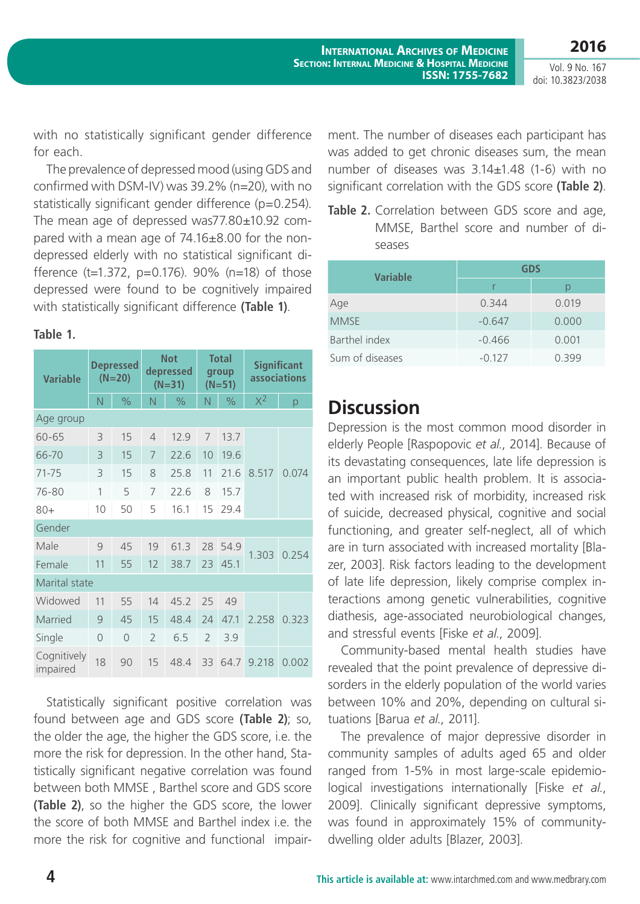Vol. 9 No. 167 doi: 10.3823/2038

with no statistically significant gender difference for each.

The prevalence of depressed mood (using GDS and confirmed with DSM-IV) was 39.2% (n=20), with no statistically significant gender difference (p=0.254). The mean age of depressed was77.80±10.92 compared with a mean age of 74.16±8.00 for the nondepressed elderly with no statistical significant difference (t=1.372, p=0.176). 90% (n=18) of those depressed were found to be cognitively impaired with statistically significant difference **(Table 1)**.

### **Table 1.**

| <b>Variable</b>         | Depressed<br>$(N=20)$ |               | <b>Not</b><br>depressed<br>$(N=31)$ |               | <b>Total</b><br>group<br>$(N=51)$ |               | <b>Significant</b><br><b>associations</b> |       |
|-------------------------|-----------------------|---------------|-------------------------------------|---------------|-----------------------------------|---------------|-------------------------------------------|-------|
|                         | N                     | $\frac{1}{2}$ | N                                   | $\frac{0}{0}$ | N                                 | $\frac{1}{2}$ | $X^2$                                     | р     |
| Age group               |                       |               |                                     |               |                                   |               |                                           |       |
| 60-65                   | 3                     | 15            | $\overline{4}$                      | 12.9          | 7                                 | 13.7          | 8.517                                     | 0.074 |
| 66-70                   | 3                     | 15            | 7                                   | 72.6          | 10                                | 19.6          |                                           |       |
| $71 - 75$               | 3                     | 15            | 8                                   | 25.8          | 11                                | 21.6          |                                           |       |
| 76-80                   | 1                     | 5             | 7                                   | 22.6          | 8                                 | 15.7          |                                           |       |
| $80+$                   | 10                    | 50            | 5                                   | 16.1          | 15                                | 29.4          |                                           |       |
| Gender                  |                       |               |                                     |               |                                   |               |                                           |       |
| Male                    | 9                     | 45            | 19                                  | 61.3          | 28                                | 54.9          | 1.303                                     | 0.254 |
| Female                  | 11                    | 55            | 12                                  | 38.7          | 23                                | 45.1          |                                           |       |
| Marital state           |                       |               |                                     |               |                                   |               |                                           |       |
| Widowed                 | 11                    | 55            | 14                                  | 45.2          | 25                                | 49            |                                           |       |
| Married                 | 9                     | 45            | 15                                  | 48.4          | 24                                | 47.1          | 2.258                                     | 0.323 |
| Single                  | $\Omega$              | $\Omega$      | $\overline{\phantom{0}}$            | 6.5           | $\overline{\phantom{0}}$          | 3.9           |                                           |       |
| Cognitively<br>impaired | 18                    | 90            | 15                                  | 48.4          | 33                                | 64.7          | 9.218                                     | 0.002 |

Statistically significant positive correlation was found between age and GDS score **(Table 2)**; so, the older the age, the higher the GDS score, i.e. the more the risk for depression. In the other hand, Statistically significant negative correlation was found between both MMSE , Barthel score and GDS score **(Table 2)**, so the higher the GDS score, the lower the score of both MMSE and Barthel index i.e. the more the risk for cognitive and functional impair-

ment. The number of diseases each participant has was added to get chronic diseases sum, the mean number of diseases was 3.14±1.48 (1-6) with no significant correlation with the GDS score **(Table 2)**.

**Table 2.** Correlation between GDS score and age, MMSE, Barthel score and number of diseases

| <b>Variable</b> | <b>GDS</b> |       |  |  |  |
|-----------------|------------|-------|--|--|--|
|                 | r          | D     |  |  |  |
| Age             | 0.344      | 0.019 |  |  |  |
| <b>MMSE</b>     | $-0.647$   | 0.000 |  |  |  |
| Barthel index   | $-0.466$   | 0.001 |  |  |  |
| Sum of diseases | $-0.127$   | 0.399 |  |  |  |

## **Discussion**

Depression is the most common mood disorder in elderly People [Raspopovic *et al.*, 2014]. Because of its devastating consequences, late life depression is an important public health problem. It is associated with increased risk of morbidity, increased risk of suicide, decreased physical, cognitive and social functioning, and greater self-neglect, all of which are in turn associated with increased mortality [Blazer, 2003]. Risk factors leading to the development of late life depression, likely comprise complex interactions among genetic vulnerabilities, cognitive diathesis, age-associated neurobiological changes, and stressful events [Fiske *et al.*, 2009].

Community-based mental health studies have revealed that the point prevalence of depressive disorders in the elderly population of the world varies between 10% and 20%, depending on cultural situations [Barua *et al.*, 2011].

The prevalence of major depressive disorder in community samples of adults aged 65 and older ranged from 1-5% in most large-scale epidemiological investigations internationally [Fiske *et al.*, 2009]. Clinically significant depressive symptoms, was found in approximately 15% of communitydwelling older adults [Blazer, 2003].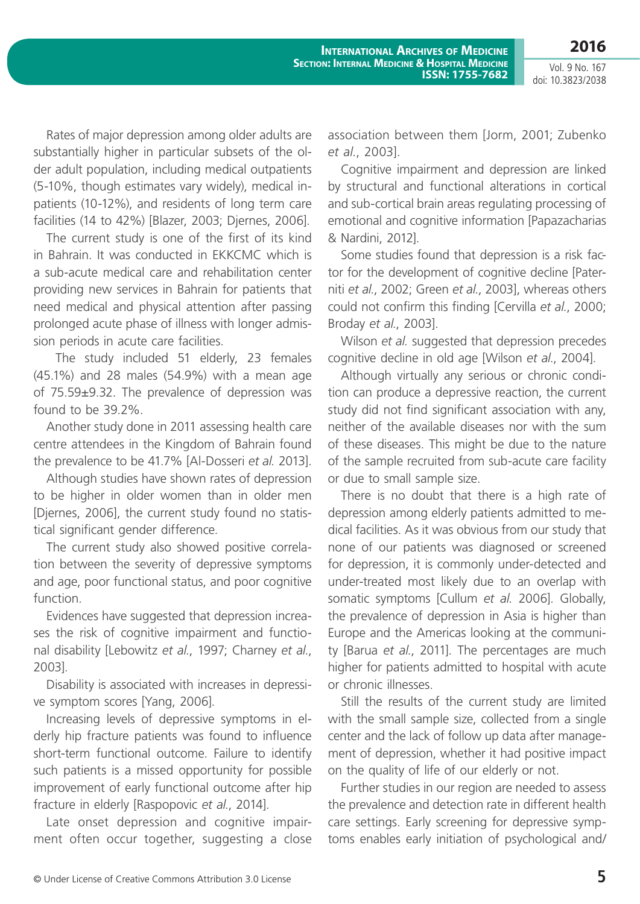**2016** Vol. 9 No. 167

doi: 10.3823/2038

Rates of major depression among older adults are substantially higher in particular subsets of the older adult population, including medical outpatients (5-10%, though estimates vary widely), medical inpatients (10-12%), and residents of long term care facilities (14 to 42%) [Blazer, 2003; Djernes, 2006].

The current study is one of the first of its kind in Bahrain. It was conducted in EKKCMC which is a sub-acute medical care and rehabilitation center providing new services in Bahrain for patients that need medical and physical attention after passing prolonged acute phase of illness with longer admission periods in acute care facilities.

 The study included 51 elderly, 23 females (45.1%) and 28 males (54.9%) with a mean age of 75.59±9.32. The prevalence of depression was found to be 39.2%.

Another study done in 2011 assessing health care centre attendees in the Kingdom of Bahrain found the prevalence to be 41.7% [Al-Dosseri *et al.* 2013].

Although studies have shown rates of depression to be higher in older women than in older men [Djernes, 2006], the current study found no statistical significant gender difference.

The current study also showed positive correlation between the severity of depressive symptoms and age, poor functional status, and poor cognitive function.

Evidences have suggested that depression increases the risk of cognitive impairment and functional disability [Lebowitz *et al.*, 1997; Charney *et al.*, 2003].

Disability is associated with increases in depressive symptom scores [Yang, 2006].

Increasing levels of depressive symptoms in elderly hip fracture patients was found to influence short-term functional outcome. Failure to identify such patients is a missed opportunity for possible improvement of early functional outcome after hip fracture in elderly [Raspopovic *et al.*, 2014].

Late onset depression and cognitive impairment often occur together, suggesting a close association between them [Jorm, 2001; Zubenko *et al.*, 2003].

Cognitive impairment and depression are linked by structural and functional alterations in cortical and sub-cortical brain areas regulating processing of emotional and cognitive information [Papazacharias & Nardini, 2012].

Some studies found that depression is a risk factor for the development of cognitive decline [Paterniti *et al.*, 2002; Green *et al.*, 2003], whereas others could not confirm this finding [Cervilla *et al.*, 2000; Broday *et al.*, 2003].

Wilson *et al.* suggested that depression precedes cognitive decline in old age [Wilson *et al.*, 2004].

Although virtually any serious or chronic condition can produce a depressive reaction, the current study did not find significant association with any, neither of the available diseases nor with the sum of these diseases. This might be due to the nature of the sample recruited from sub-acute care facility or due to small sample size.

There is no doubt that there is a high rate of depression among elderly patients admitted to medical facilities. As it was obvious from our study that none of our patients was diagnosed or screened for depression, it is commonly under-detected and under-treated most likely due to an overlap with somatic symptoms [Cullum *et al.* 2006]. Globally, the prevalence of depression in Asia is higher than Europe and the Americas looking at the community [Barua *et al.*, 2011]. The percentages are much higher for patients admitted to hospital with acute or chronic illnesses.

Still the results of the current study are limited with the small sample size, collected from a single center and the lack of follow up data after management of depression, whether it had positive impact on the quality of life of our elderly or not.

Further studies in our region are needed to assess the prevalence and detection rate in different health care settings. Early screening for depressive symptoms enables early initiation of psychological and/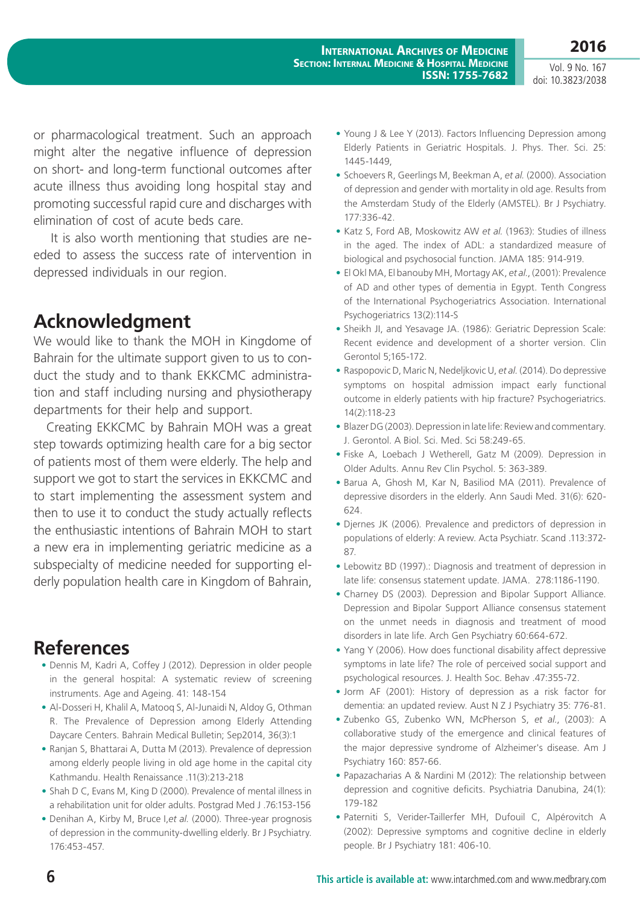Vol. 9 No. 167 doi: 10.3823/2038

or pharmacological treatment. Such an approach might alter the negative influence of depression on short- and long-term functional outcomes after acute illness thus avoiding long hospital stay and promoting successful rapid cure and discharges with elimination of cost of acute beds care.

 It is also worth mentioning that studies are needed to assess the success rate of intervention in depressed individuals in our region.

# **Acknowledgment**

We would like to thank the MOH in Kingdome of Bahrain for the ultimate support given to us to conduct the study and to thank EKKCMC administration and staff including nursing and physiotherapy departments for their help and support.

Creating EKKCMC by Bahrain MOH was a great step towards optimizing health care for a big sector of patients most of them were elderly. The help and support we got to start the services in EKKCMC and to start implementing the assessment system and then to use it to conduct the study actually reflects the enthusiastic intentions of Bahrain MOH to start a new era in implementing geriatric medicine as a subspecialty of medicine needed for supporting elderly population health care in Kingdom of Bahrain,

## **References**

- **•** Dennis M, Kadri A, Coffey J (2012). Depression in older people in the general hospital: A systematic review of screening instruments. Age and Ageing. 41: 148-154
- **•** Al-Dosseri H, Khalil A, Matooq S, Al-Junaidi N, Aldoy G, Othman R. The Prevalence of Depression among Elderly Attending Daycare Centers. Bahrain Medical Bulletin; Sep2014, 36(3):1
- **•** Ranjan S, Bhattarai A, Dutta M (2013). Prevalence of depression among elderly people living in old age home in the capital city Kathmandu. Health Renaissance .11(3):213-218
- Shah D C, Evans M, King D (2000). Prevalence of mental illness in a rehabilitation unit for older adults. Postgrad Med J .76:153-156
- **•** Denihan A, Kirby M, Bruce I,*et al.* (2000). Three-year prognosis of depression in the community-dwelling elderly. Br J Psychiatry. 176:453-457.
- **•** Young J & Lee Y (2013). Factors Influencing Depression among Elderly Patients in Geriatric Hospitals. J. Phys. Ther. Sci. 25: 1445-1449,
- **•** Schoevers R, Geerlings M, Beekman A, *et al.* (2000). Association of depression and gender with mortality in old age. Results from the Amsterdam Study of the Elderly (AMSTEL). Br J Psychiatry. 177:336-42.
- **•** Katz S, Ford AB, Moskowitz AW *et al.* (1963): Studies of illness in the aged. The index of ADL: a standardized measure of biological and psychosocial function. JAMA 185: 914-919.
- **•** El Okl MA, El banouby MH, Mortagy AK, *et al.*, (2001): Prevalence of AD and other types of dementia in Egypt. Tenth Congress of the International Psychogeriatrics Association. International Psychogeriatrics 13(2):114-S
- **•** Sheikh JI, and Yesavage JA. (1986): Geriatric Depression Scale: Recent evidence and development of a shorter version. Clin Gerontol 5;165-172.
- **•** Raspopovic D, Maric N, Nedeljkovic U, *et al.* (2014). Do depressive symptoms on hospital admission impact early functional outcome in elderly patients with hip fracture? Psychogeriatrics. 14(2):118-23
- **•** Blazer DG (2003). Depression in late life: Review and commentary. J. Gerontol. A Biol. Sci. Med. Sci 58:249-65.
- **•** Fiske A, Loebach J Wetherell, Gatz M (2009). Depression in Older Adults. Annu Rev Clin Psychol. 5: 363-389.
- **•** Barua A, Ghosh M, Kar N, Basiliod MA (2011). Prevalence of depressive disorders in the elderly. Ann Saudi Med. 31(6): 620- 624.
- **•** Djernes JK (2006). Prevalence and predictors of depression in populations of elderly: A review. Acta Psychiatr. Scand .113:372- 87.
- **•** Lebowitz BD (1997).: Diagnosis and treatment of depression in late life: consensus statement update. JAMA. 278:1186-1190.
- **•** Charney DS (2003). Depression and Bipolar Support Alliance. Depression and Bipolar Support Alliance consensus statement on the unmet needs in diagnosis and treatment of mood disorders in late life. Arch Gen Psychiatry 60:664-672.
- **•** Yang Y (2006). How does functional disability affect depressive symptoms in late life? The role of perceived social support and psychological resources. J. Health Soc. Behav .47:355-72.
- **•** Jorm AF (2001): History of depression as a risk factor for dementia: an updated review. Aust N Z J Psychiatry 35: 776-81.
- **•** Zubenko GS, Zubenko WN, McPherson S, *et al.*, (2003): A collaborative study of the emergence and clinical features of the major depressive syndrome of Alzheimer's disease. Am J Psychiatry 160: 857-66.
- **•** Papazacharias A & Nardini M (2012): The relationship between depression and cognitive deficits. Psychiatria Danubina, 24(1): 179-182
- **•** Paterniti S, Verider-Taillerfer MH, Dufouil C, Alpérovitch A (2002): Depressive symptoms and cognitive decline in elderly people. Br J Psychiatry 181: 406-10.